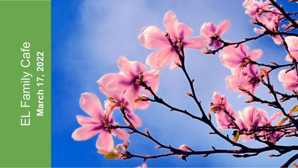# EL Family Cafe<br>March 17, 2022 **March 17, 2022**

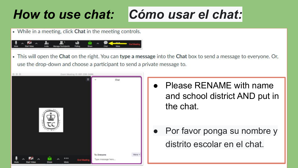# *How to use chat: Cómo usar el chat:*

• While in a meeting, click Chat in the meeting controls.



. This will open the Chat on the right. You can type a message into the Chat box to send a message to everyone. Or, use the drop-down and choose a participant to send a private message to.

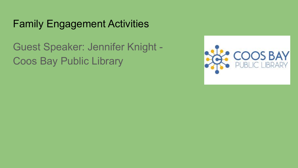## Family Engagement Activities

Guest Speaker: Jennifer Knight - Coos Bay Public Library

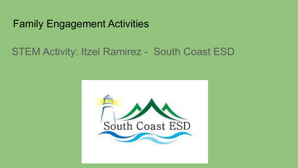## Family Engagement Activities

## STEM Activity: Itzel Ramirez - South Coast ESD

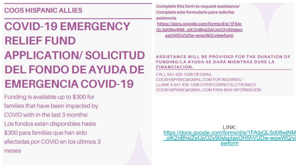#### **COOS HISPANIC ALLIES**

# **COVID-19 EMERGENCY RELIEF FUND APPLICATION/SOLICITUD DEL FONDO DE AYUDA DE EMERGENCIA COVID-19**

Funding is available up to \$300 for families that have been impacted by COVID with in the last 3 months/ Los fondos están disponibles hasta \$300 para familias que han sido afectadas por COVID en los últimos 3 meses

Complete this form to request assistance/ Complete este formulario para solicitar asistencia

https://docs.google.com/forms/d/e/1FAIp QLSd08wiNM\_olK2nBhslZefJpO2y90slspI asOH5hVUDw-wgwWQ/viewform

#### ASSISTANCE WILL BE PROVIDED FOR THE DURATION OF FUNDING/LA AYUDA SE DARÁ MIENTRAS DURE LA FINANCIACIÓN.

CALL 541-435-1336 OR EMAIL COOSHISPANIC@GMAIL.COM FOR INQUIRIES./ LLAME A 541-435-1336 O POR CORREO ELCTRONICO COOSHISPANIC@GMAIL.COM PARA MAS INFORMACION

 $I$  INK: https://docs.google.com/forms/d/e/1FAIpQLSd08wjNM olK2nBhslZefJpO2y90slsplasOH5hVUDw-wgwWQ/vi ewform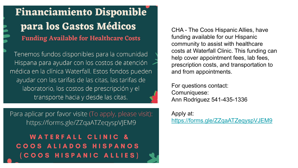## **Financiamiento Disponible** para los Gastos Médicos **Funding Available for Healthcare Costs**

Tenemos fundos disponibles para la comunidad Hispana para ayudar con los costos de atención médica en la clínica Waterfall. Estos fondos pueden ayudar con las tarifas de las citas, las tarifas de laboratorio, los costos de prescripción y el transporte hacia y desde las citas.

Para aplicar por favor visite (To apply, please visit): https://forms.gle/ZZqaATZeqyspVJEM9

### **WATERFALL CLINIC &** COOS ALIADOS HISPANOS (COOS HISPANIC ALLIES)

CHA - The Coos Hispanic Allies, have funding available for our Hispanic community to assist with healthcare costs at Waterfall Clinic. This funding can help cover appointment fees, lab fees, prescription costs, and transportation to and from appointments.

For questions contact: Comuniquese: Ann Rodriguez 541-435-1336

Apply at: <https://forms.gle/ZZqaATZeqyspVJEM9>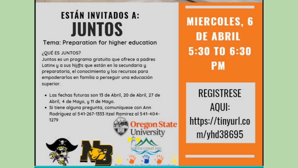# **ESTÁN INVITADOS A: JUNTOS**

#### Tema: Preparation for higher education

#### ¿QUÉ ES JUNTOS?

Juntos es un programa gratuito que ofrece a padres Latinx y a sus hij@s que están en la secundaria y preparatoria, el conocimiento y los recursos para empoderarlos en familia a perseguir una educación superior.

- · Las fechas futuras son 13 de Abril, 20 de Abril, 27 de Abril, 4 de Mayo, y 11 de Mayo.
- · Si tiene alguna pregunta, comuníquese con Ann Rodríguez al 541-267-1333 Itzel Ramirez al 541-404-1279 **State**

**Iniversity** 

TH COAST ESI

**MIERCOLES, 6 DE ABRIL** 5:30 TO 6:30 **PM** 

**REGISTRESE** AOUI: https://tinyurl.co m/yhd38695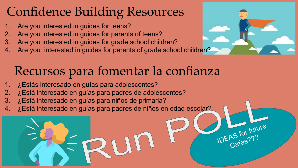# Confidence Building Resources

- 1. Are you interested in guides for teens?
- 2. Are you interested in guides for parents of teens?
- 3. Are you interested in guides for grade school children?
- 4. Are you interested in guides for parents of grade school children?

# Recursos para fomentar la confianza

- ¿Estás interesado en guías para adolescentes?
- 2. ¿Está interesado en guías para padres de adolescentes?
- 3. ¿Está interesado en guías para niños de primaria?
- 4. ¿Está interesado en guías para padres de niños en edad escolar?



**IDEAS** for future Cafes???<br>AS IV:<sub>93</sub>?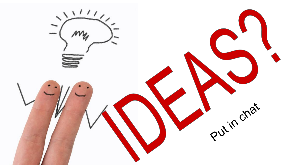